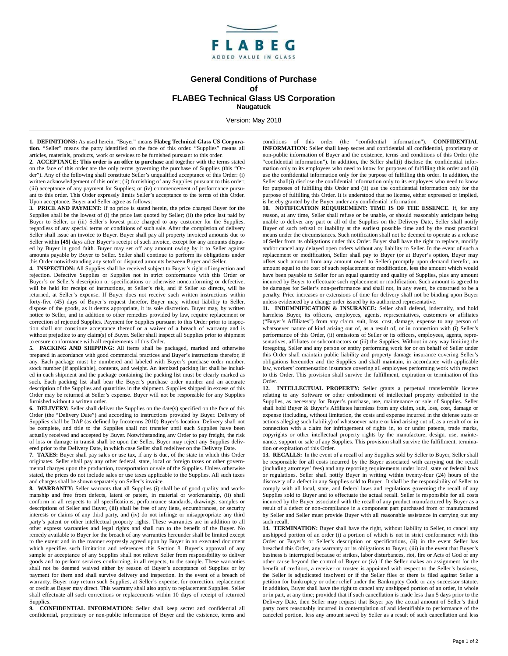

## **General Conditions of Purchase of FLABEG Technical Glass US Corporation Naugatuck**

Version: May 2018

**1. DEFINITIONS:** As used herein, "Buyer" means **Flabeg Technical Glass US Corporation**. "Seller" means the party identified on the face of this order. "Supplies" means all articles, materials, products, work or services to be furnished pursuant to this order.

**2. ACCEPTANCE: This order is an offer to purchase** and together with the terms stated on the face of this order are the only terms governing the purchase of Supplies (this "Order"). Any of the following shall constitute Seller's unqualified acceptance of this Order: (i) written acknowledgement of this order; (ii) furnishing of any Supplies pursuant to this order; (iii) acceptance of any payment for Supplies; or (iv) commencement of performance pursuant to this order. This Order expressly limits Seller's acceptance to the terms of this Order. Upon acceptance, Buyer and Seller agree as follows:

**3. PRICE AND PAYMENT:** If no price is stated herein, the price charged Buyer for the Supplies shall be the lowest of (i) the price last quoted by Seller; (ii) the price last paid by Buyer to Seller, or (iii) Seller's lowest price charged to any customer for the Supplies, regardless of any special terms or conditions of such sale. After the completion of delivery Seller shall issue an invoice to Buyer. Buyer shall pay all property invoiced amounts due to Seller within **[45]** days after Buyer's receipt of such invoice, except for any amounts disputed by Buyer in good faith. Buyer may set off any amount owing by it to Seller against amounts payable by Buyer to Seller. Seller shall continue to perform its obligations under this Order notwithstanding any setoff or disputed amounts between Buyer and Seller.

**4. INSPECTION:** All Supplies shall be received subject to Buyer's right of inspection and rejection. Defective Supplies or Supplies not in strict conformance with this Order or Buyer's or Seller's description or specifications or otherwise nonconforming or defective, will be held for receipt of instructions, at Seller's risk, and if Seller so directs, will be returned, at Seller's expense. If Buyer does not receive such written instructions within forty-five (45) days of Buyer's request therefor, Buyer may, without liability to Seller, dispose of the goods, as it deems appropriate, it its sole discretion. Buyer may, by written notice to Seller, and in addition to other remedies provided by law, require replacement or correction of rejected Supplies. Payment for Supplies pursuant to this Order prior to inspection shall not constitute acceptance thereof or a waiver of a breach of warranty and is without prejudice to any claim(s) of Buyer. Seller shall inspect all Supplies prior to shipment to ensure conformance with all requirements of this Order.

**5. PACKING AND SHIPPING:** All items shall be packaged, marked and otherwise prepared in accordance with good commercial practices and Buyer's instructions therefor, if any. Each package must be numbered and labeled with Buyer's purchase order number, stock number (if applicable), contents, and weight. An itemized packing list shall be included in each shipment and the package containing the packing list must be clearly marked as such. Each packing list shall bear the Buyer's purchase order number and an accurate description of the Supplies and quantities in the shipment. Supplies shipped in excess of this Order may be returned at Seller's expense. Buyer will not be responsible for any Supplies furnished without a written order.

**6. DELIVERY:** Seller shall deliver the Supplies on the date(s) specified on the face of this Order (the "Delivery Date") and according to instructions provided by Buyer. Delivery of Supplies shall be DAP (as defined by Incoterms 2010) Buyer's location. Delivery shall not be complete, and title to the Supplies shall not transfer until such Supplies have been actually received and accepted by Buyer. Notwithstanding any Order to pay freight, the risk of loss or damage in transit shall be upon the Seller. Buyer may reject any Supplies delivered prior to the Delivery Date, in which case Seller shall redeliver on the Delivery Date.

**7. TAXES:** Buyer shall pay sales or use tax, if any is due, of the state in which this Order originates. Seller shall pay any other federal, state, local or foreign taxes or other governmental charges upon the production, transportation or sale of the Supplies. Unless otherwise stated, the prices do not include sales or use taxes applicable to the Supplies. All such taxes and charges shall be shown separately on Seller's invoice.

**8. WARRANTY:** Seller warrants that all Supplies (i) shall be of good quality and workmanship and free from defects, latent or patent, in material or workmanship, (ii) shall conform in all respects to all specifications, performance standards, drawings, samples or descriptions of Seller and Buyer, (iii) shall be free of any liens, encumbrances, or security interests or claims of any third party, and (iv) do not infringe or misappropriate any third party's patent or other intellectual property rights. These warranties are in addition to all other express warranties and legal rights and shall run to the benefit of the Buyer. No remedy available to Buyer for the breach of any warranties hereunder shall be limited except to the extent and in the manner expressly agreed upon by Buyer in an executed document which specifies such limitation and references this Section 8. Buyer's approval of any sample or acceptance of any Supplies shall not relieve Seller from responsibility to deliver goods and to perform services conforming, in all respects, to the sample. These warranties shall not be deemed waived either by reason of Buyer's acceptance of Supplies or by payment for them and shall survive delivery and inspection. In the event of a breach of warranty, Buyer may return such Supplies, at Seller's expense, for correction, replacement or credit as Buyer may direct. This warranty shall also apply to replacement Supplies. Seller shall effectuate all such corrections or replacements within 10 days of receipt of returned Supplies.

**CONFIDENTIAL INFORMATION:** Seller shall keep secret and confidential all confidential, proprietary or non-public information of Buyer and the existence, terms and

conditions of this order (the "confidential information"). **CONFIDENTIAL INFORMATION:** Seller shall keep secret and confidential all confidential, proprietary or non-public information of Buyer and the existence, terms and conditions of this Order (the "confidential information"). In addition, the Seller shall(i) disclose the confidential information only to its employees who need to know for purposes of fulfilling this order and (ii) use the confidential information only for the purpose of fulfilling this order. In addition, the Seller shall(i) disclose the confidential information only to its employees who need to know for purposes of fulfilling this Order and (ii) use the confidential information only for the purpose of fulfilling this Order. It is understood that no license, either expressed or implied, is hereby granted by the Buyer under any confidential information.

**10. NOTIFICATION REQUIREMENT: TIME IS OF THE ESSENCE**. If, for any reason, at any time, Seller shall refuse or be unable, or should reasonably anticipate being unable to deliver any part or all of the Supplies on the Delivery Date, Seller shall notify Buyer of such refusal or inability at the earliest possible time and by the most practical means under the circumstances. Such notification shall not be deemed to operate as a release of Seller from its obligations under this Order. Buyer shall have the right to replace, modify and/or cancel any delayed open orders without any liability to Seller. In the event of such a replacement or modification, Seller shall pay to Buyer (or at Buyer's option, Buyer may offset such amount from any amount owed to Seller) promptly upon demand therefor, an amount equal to the cost of such replacement or modification, less the amount which would have been payable to Seller for an equal quantity and quality of Supplies, plus any amount incurred by Buyer to effectuate such replacement or modification. Such amount is agreed to be damages for Seller's non-performance and shall not, in any event, be construed to be a penalty. Price increases or extensions of time for delivery shall not be binding upon Buyer unless evidenced by a change order issued by its authorized representative.

11. **INDEMNIFICATION & INSURANCE:** Seller shall defend, indemnify, and hold harmless Buyer, its officers, employees, agents, representatives, customers or affiliates ("Buyer's Affiliates") from any claim, suit, loss, cost, damage, expense to any person of whatsoever nature of kind arising out of, as a result of, or in connection with (i) Seller's performance of this Order, (ii) omissions of Seller or its officers, employees, agents, representatives, affiliates or subcontractors or (iii) the Supplies. Without in any way limiting the foregoing, Seller and any person or entity performing work for or on behalf of Seller under this Order shall maintain public liability and property damage insurance covering Seller's obligations hereunder and the Supplies and shall maintain, in accordance with applicable law, workers' compensation insurance covering all employees performing work with respect to this Order. This provision shall survive the fulfillment, expiration or termination of this Order.

**12. INTELLECTUAL PROPERTY:** Seller grants a perpetual transferrable license relating to any Software or other embodiment of intellectual property embedded in the Supplies, as necessary for Buyer's purchase, use, maintenance or sale of Supplies. Seller shall hold Buyer & Buyer's Affiliates harmless from any claim, suit, loss, cost, damage or expense (including, without limitation, the costs and expense incurred in the defense suits or actions alleging such liability) of whatsoever nature or kind arising out of, as a result of or in connection with a claim for infringement of rights in, to or under patents, trade marks, copyrights or other intellectual property rights by the manufacture, design, use, maintenance, support or sale of any Supplies. This provision shall survive the fulfillment, termination or expiration of this Order.

**13. RECALLS:** In the event of a recall of any Supplies sold by Seller to Buyer, Seller shall be responsible for all costs incurred by the Buyer associated with carrying out the recall (including attorneys' fees) and any reporting requirements under local, state or federal laws or regulations. Seller shall notify Buyer in writing within twenty-four (24) hours of the discovery of a defect in any Supplies sold to Buyer. It shall be the responsibility of Seller to comply with all local, state, and federal laws and regulations governing the recall of any Supplies sold to Buyer and to effectuate the actual recall. Seller is responsible for all costs incurred by the Buyer associated with the recall of any product manufactured by Buyer as a result of a defect or non-compliance in a component part purchased from or manufactured by Seller and Seller must provide Buyer with all reasonable assistance in carrying out any such recall.

**14. TERMINATION:** Buyer shall have the right, without liability to Seller, to cancel any unshipped portion of an order (i) a portion of which is not in strict conformance with this Order or Buyer's or Seller's description or specifications, (ii) in the event Seller has breached this Order, any warranty or its obligations to Buyer, (iii) in the event that Buyer's business is interrupted because of strikes, labor disturbances, riot, fire or Acts of God or any other cause beyond the control of Buyer or (iv) if the Seller makes an assignment for the benefit of creditors, a receiver or trustee is appointed with respect to the Seller's business, the Seller is adjudicated insolvent or if the Seller files or there is filed against Seller a petition for bankruptcy or other relief under the Bankruptcy Code or any successor statute. In addition, Buyer shall have the right to cancel any unshipped portion of an order, in whole or in part, at any time; provided that if such cancellation is made less than 5 days prior to the Delivery Date, then Seller may request that Buyer pay the actual amount of Seller's third party costs reasonably incurred in contemplation of and identifiable to performance of the canceled portion, less any amount saved by Seller as a result of such cancellation and less